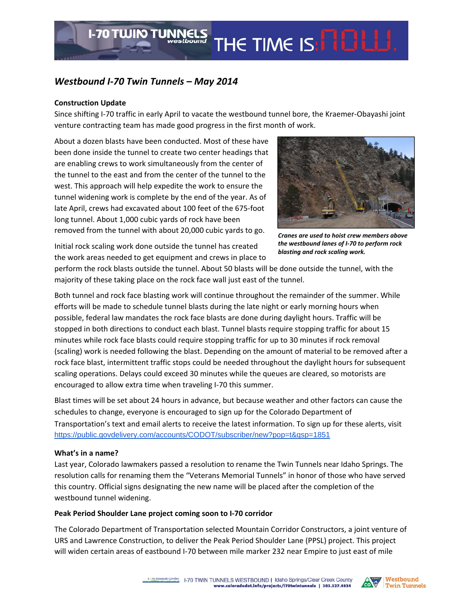## *Westbound I‐70 Twin Tunnels – May 2014*

**I-70 TWIN TUNNELS** 

## **Construction Update**

Since shifting I‐70 traffic in early April to vacate the westbound tunnel bore, the Kraemer‐Obayashi joint venture contracting team has made good progress in the first month of work.

About a dozen blasts have been conducted. Most of these have been done inside the tunnel to create two center headings that are enabling crews to work simultaneously from the center of the tunnel to the east and from the center of the tunnel to the west. This approach will help expedite the work to ensure the tunnel widening work is complete by the end of the year. As of late April, crews had excavated about 100 feet of the 675‐foot long tunnel. About 1,000 cubic yards of rock have been removed from the tunnel with about 20,000 cubic yards to go.



*Cranes are used to hoist crew members above the westbound lanes of I‐70 to perform rock blasting and rock scaling work.*

Initial rock scaling work done outside the tunnel has created the work areas needed to get equipment and crews in place to

perform the rock blasts outside the tunnel. About 50 blasts will be done outside the tunnel, with the majority of these taking place on the rock face wall just east of the tunnel.

Both tunnel and rock face blasting work will continue throughout the remainder of the summer. While efforts will be made to schedule tunnel blasts during the late night or early morning hours when possible, federal law mandates the rock face blasts are done during daylight hours. Traffic will be stopped in both directions to conduct each blast. Tunnel blasts require stopping traffic for about 15 minutes while rock face blasts could require stopping traffic for up to 30 minutes if rock removal (scaling) work is needed following the blast. Depending on the amount of material to be removed after a rock face blast, intermittent traffic stops could be needed throughout the daylight hours for subsequent scaling operations. Delays could exceed 30 minutes while the queues are cleared, so motorists are encouraged to allow extra time when traveling I‐70 this summer.

Blast times will be set about 24 hours in advance, but because weather and other factors can cause the schedules to change, everyone is encouraged to sign up for the Colorado Department of Transportation's text and email alerts to receive the latest information. To sign up for these alerts, visit https://public.govdelivery.com/accounts/CODOT/subscriber/new?pop=t&qsp=1851

## **What's in a name?**

Last year, Colorado lawmakers passed a resolution to rename the Twin Tunnels near Idaho Springs. The resolution calls for renaming them the "Veterans Memorial Tunnels" in honor of those who have served this country. Official signs designating the new name will be placed after the completion of the westbound tunnel widening.

## **Peak Period Shoulder Lane project coming soon to I‐70 corridor**

The Colorado Department of Transportation selected Mountain Corridor Constructors, a joint venture of URS and Lawrence Construction, to deliver the Peak Period Shoulder Lane (PPSL) project. This project will widen certain areas of eastbound I-70 between mile marker 232 near Empire to just east of mile